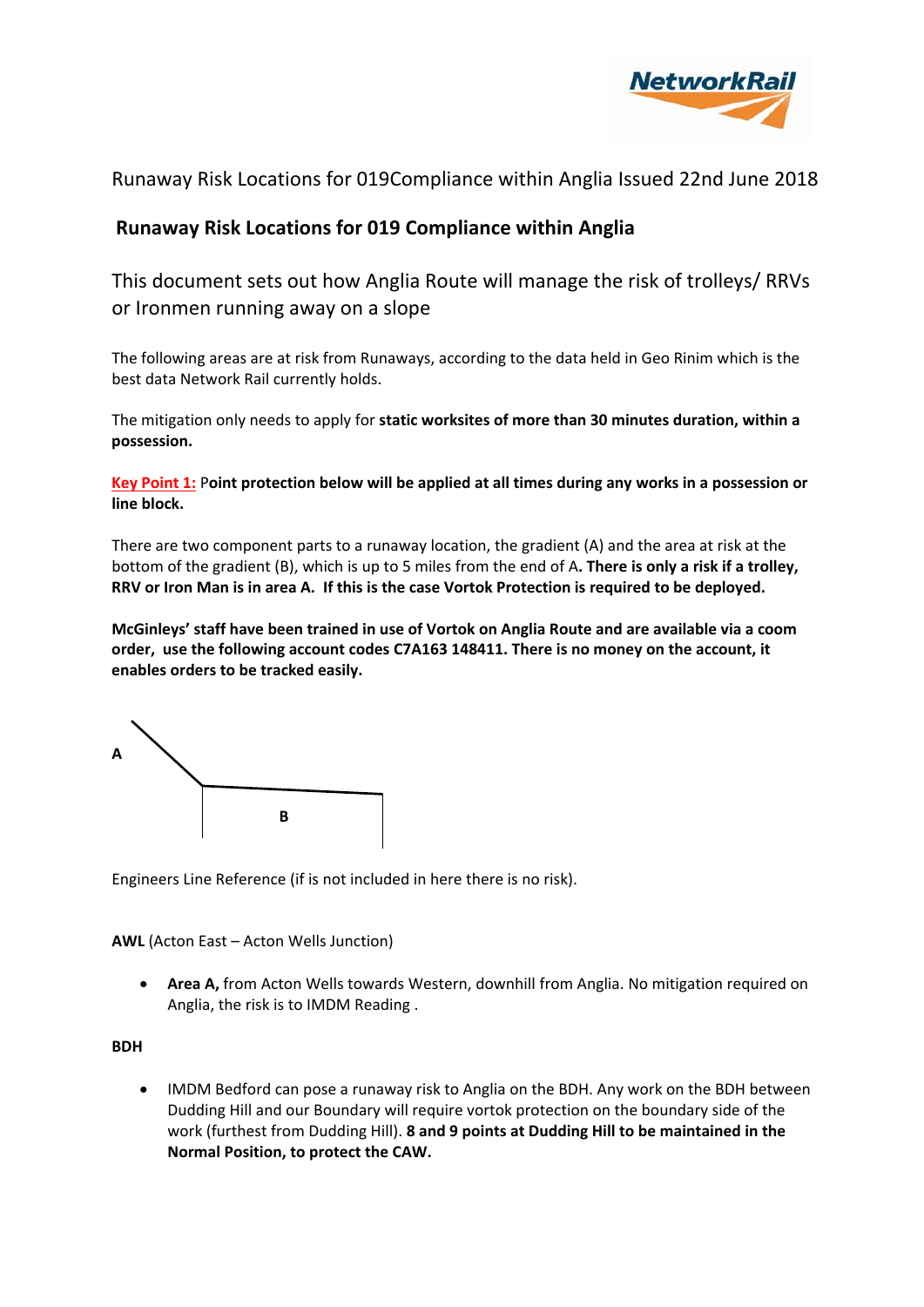

# **Runaway Risk Locations for 019 Compliance within Anglia**

This document sets out how Anglia Route will manage the risk of trolleys/ RRVs or Ironmen running away on a slope

The following areas are at risk from Runaways, according to the data held in Geo Rinim which is the best data Network Rail currently holds.

The mitigation only needs to apply for **static worksites of more than 30 minutes duration, within a possession.**

Key Point 1: Point protection below will be applied at all times during any works in a possession or **line block.**

There are two component parts to a runaway location, the gradient (A) and the area at risk at the bottom of the gradient (B), which is up to 5 miles from the end of A**. There is only a risk if a trolley,** RRV or Iron Man is in area A. If this is the case Vortok Protection is required to be deploved.

**McGinleys' staff have been trained in use of Vortok on Anglia Route and are available via a coom order, use the following account codes C7A163 148411. There is no money on the account, it enables orders to be tracked easily.**



Engineers Line Reference (if is not included in here there is no risk).

**AWL** (Acton East – Acton Wells Junction)

 **Area A,** from Acton Wells towards Western, downhill from Anglia. No mitigation required on Anglia, the risk is to IMDM Reading .

## **BDH**

 IMDM Bedford can pose a runaway risk to Anglia on the BDH. Any work on the BDH between Dudding Hill and our Boundary will require vortok protection on the boundary side of the work (furthest from Dudding Hill). **8 and 9 points at Dudding Hill to be maintained in the Normal Position, to protect the CAW.**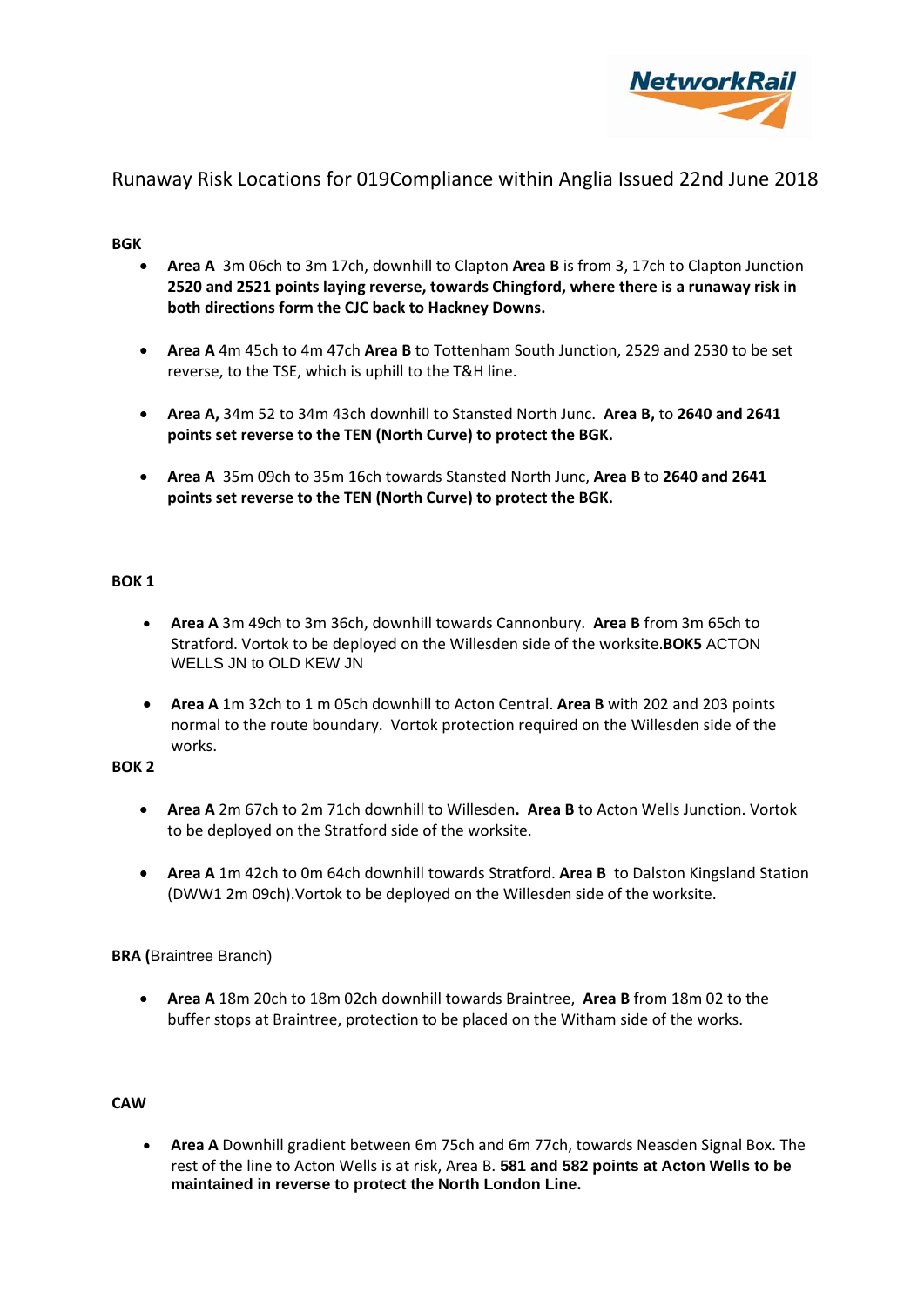

## **BGK**

- **Area A** 3m 06ch to 3m 17ch, downhill to Clapton **Area B** is from 3, 17ch to Clapton Junction **2520 and 2521 points laying reverse, towards Chingford, where there is a runaway risk in both directions form the CJC back to Hackney Downs.**
- **Area A** 4m 45ch to 4m 47ch **Area B** to Tottenham South Junction, 2529 and 2530 to be set reverse, to the TSE, which is uphill to the T&H line.
- **Area A,** 34m 52 to 34m 43ch downhill to Stansted North Junc. **Area B,** to **2640 and 2641 points set reverse to the TEN (North Curve) to protect the BGK.**
- **Area A** 35m 09ch to 35m 16ch towards Stansted North Junc, **Area B** to **2640 and 2641 points set reverse to the TEN (North Curve) to protect the BGK.**

### **BOK 1**

- **Area A** 3m 49ch to 3m 36ch, downhill towards Cannonbury. **Area B** from 3m 65ch to Stratford. Vortok to be deployed on the Willesden side of the worksite.**BOK5** ACTON WELLS JN to OLD KEW JN
- **Area A** 1m 32ch to 1 m 05ch downhill to Acton Central. **Area B** with 202 and 203 points normal to the route boundary. Vortok protection required on the Willesden side of the works.

### **BOK 2**

- **Area A** 2m 67ch to 2m 71ch downhill to Willesden**. Area B** to Acton Wells Junction. Vortok to be deployed on the Stratford side of the worksite.
- **Area A** 1m 42ch to 0m 64ch downhill towards Stratford. **Area B** to Dalston Kingsland Station (DWW1 2m 09ch).Vortok to be deployed on the Willesden side of the worksite.

### **BRA (**Braintree Branch)

 **Area A** 18m 20ch to 18m 02ch downhill towards Braintree, **Area B** from 18m 02 to the buffer stops at Braintree, protection to be placed on the Witham side of the works.

### **CAW**

 **Area A** Downhill gradient between 6m 75ch and 6m 77ch, towards Neasden Signal Box. The rest of the line to Acton Wells is at risk, Area B. **581 and 582 points at Acton Wells to be maintained in reverse to protect the North London Line.**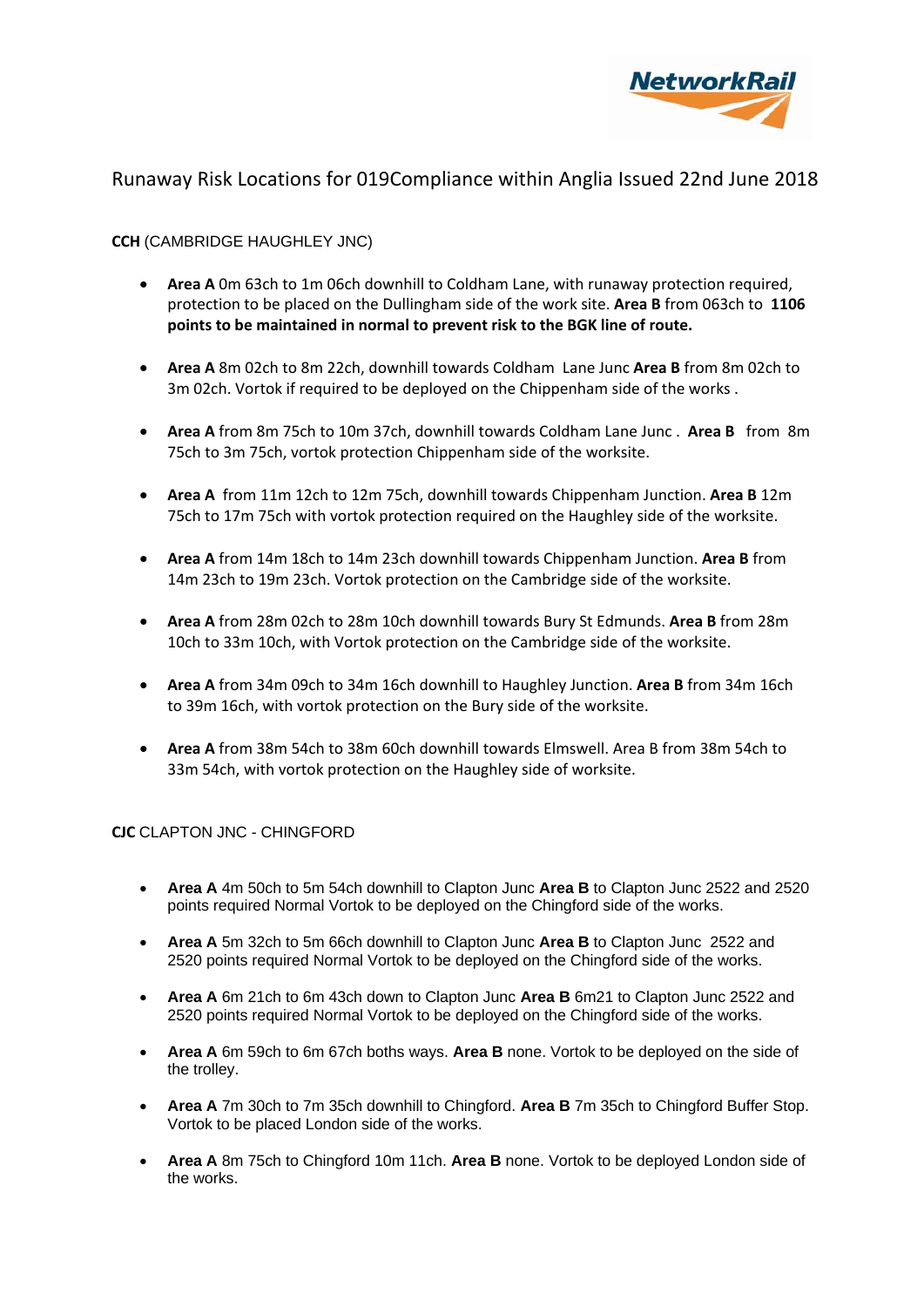

## **CCH** (CAMBRIDGE HAUGHLEY JNC)

- **Area A** 0m 63ch to 1m 06ch downhill to Coldham Lane, with runaway protection required, protection to be placed on the Dullingham side of the work site. **Area B** from 063ch to **1106 points to be maintained in normal to prevent risk to the BGK line of route.**
- **Area A** 8m 02ch to 8m 22ch, downhill towards Coldham Lane Junc **Area B** from 8m 02ch to 3m 02ch. Vortok if required to be deployed on the Chippenham side of the works .
- **Area A** from 8m 75ch to 10m 37ch, downhill towards Coldham Lane Junc . **Area B** from 8m 75ch to 3m 75ch, vortok protection Chippenham side of the worksite.
- **Area A** from 11m 12ch to 12m 75ch, downhill towards Chippenham Junction. **Area B** 12m 75ch to 17m 75ch with vortok protection required on the Haughley side of the worksite.
- **Area A** from 14m 18ch to 14m 23ch downhill towards Chippenham Junction. **Area B** from 14m 23ch to 19m 23ch. Vortok protection on the Cambridge side of the worksite.
- **Area A** from 28m 02ch to 28m 10ch downhill towards Bury St Edmunds. **Area B** from 28m 10ch to 33m 10ch, with Vortok protection on the Cambridge side of the worksite.
- **Area A** from 34m 09ch to 34m 16ch downhill to Haughley Junction. **Area B** from 34m 16ch to 39m 16ch, with vortok protection on the Bury side of the worksite.
- **Area A** from 38m 54ch to 38m 60ch downhill towards Elmswell. Area B from 38m 54ch to 33m 54ch, with vortok protection on the Haughley side of worksite.

### **CJC** CLAPTON JNC - CHINGFORD

- **Area A** 4m 50ch to 5m 54ch downhill to Clapton Junc **Area B** to Clapton Junc 2522 and 2520 points required Normal Vortok to be deployed on the Chingford side of the works.
- **Area A** 5m 32ch to 5m 66ch downhill to Clapton Junc **Area B** to Clapton Junc 2522 and 2520 points required Normal Vortok to be deployed on the Chingford side of the works.
- **Area A** 6m 21ch to 6m 43ch down to Clapton Junc **Area B** 6m21 to Clapton Junc 2522 and 2520 points required Normal Vortok to be deployed on the Chingford side of the works.
- **Area A** 6m 59ch to 6m 67ch boths ways. **Area B** none. Vortok to be deployed on the side of the trolley.
- **Area A** 7m 30ch to 7m 35ch downhill to Chingford. **Area B** 7m 35ch to Chingford Buffer Stop. Vortok to be placed London side of the works.
- **Area A** 8m 75ch to Chingford 10m 11ch. **Area B** none. Vortok to be deployed London side of the works.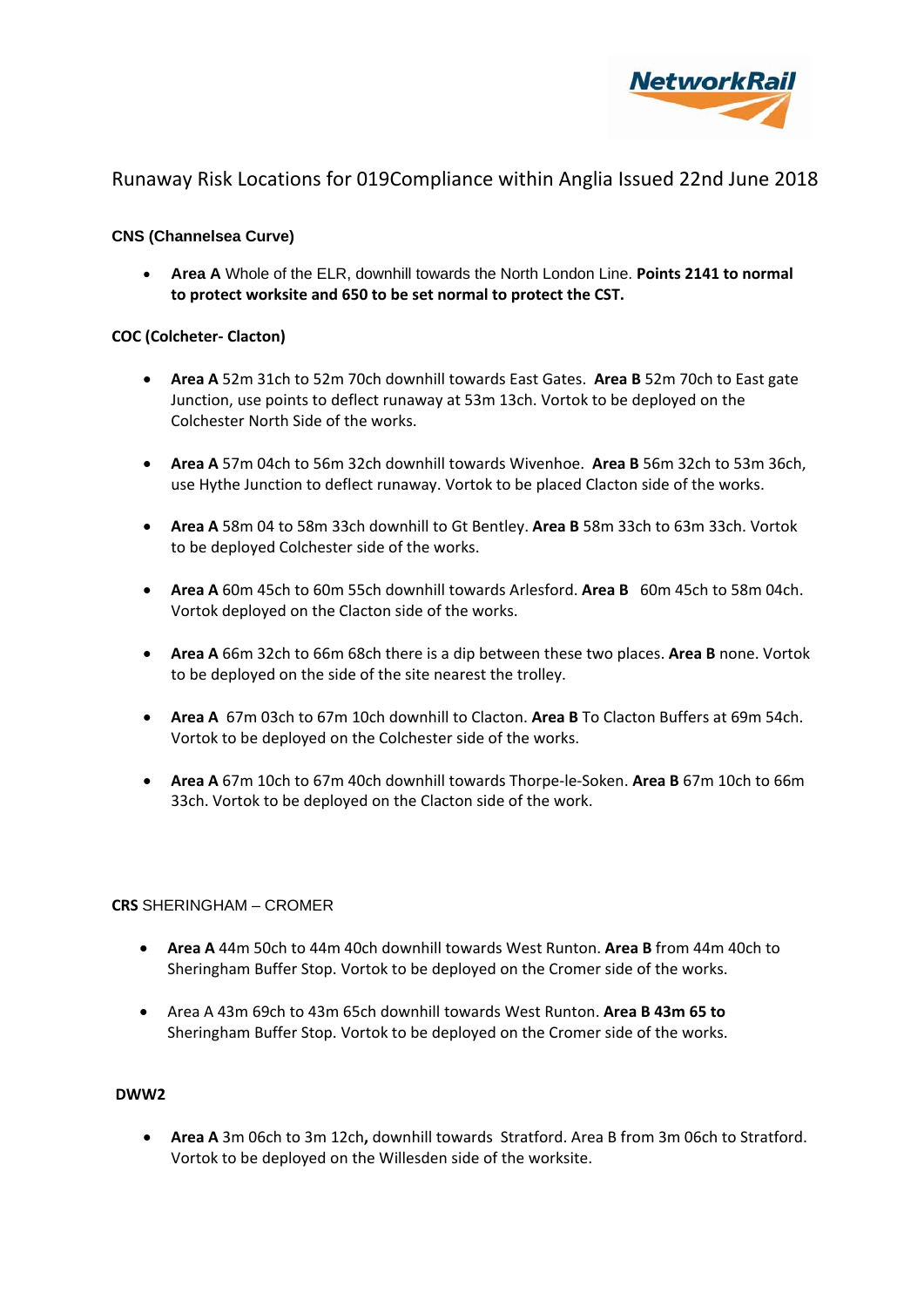

## **CNS (Channelsea Curve)**

 **Area A** Whole of the ELR, downhill towards the North London Line. **Points 2141 to normal to protect worksite and 650 to be set normal to protect the CST.**

### **COC (Colcheter‐ Clacton)**

- **Area A** 52m 31ch to 52m 70ch downhill towards East Gates. **Area B** 52m 70ch to East gate Junction, use points to deflect runaway at 53m 13ch. Vortok to be deployed on the Colchester North Side of the works.
- **Area A** 57m 04ch to 56m 32ch downhill towards Wivenhoe. **Area B** 56m 32ch to 53m 36ch, use Hythe Junction to deflect runaway. Vortok to be placed Clacton side of the works.
- **Area A** 58m 04 to 58m 33ch downhill to Gt Bentley. **Area B** 58m 33ch to 63m 33ch. Vortok to be deployed Colchester side of the works.
- **Area A** 60m 45ch to 60m 55ch downhill towards Arlesford. **Area B** 60m 45ch to 58m 04ch. Vortok deployed on the Clacton side of the works.
- **Area A** 66m 32ch to 66m 68ch there is a dip between these two places. **Area B** none. Vortok to be deployed on the side of the site nearest the trolley.
- **Area A** 67m 03ch to 67m 10ch downhill to Clacton. **Area B** To Clacton Buffers at 69m 54ch. Vortok to be deployed on the Colchester side of the works.
- **Area A** 67m 10ch to 67m 40ch downhill towards Thorpe‐le‐Soken. **Area B** 67m 10ch to 66m 33ch. Vortok to be deployed on the Clacton side of the work.

### **CRS** SHERINGHAM – CROMER

- **Area A** 44m 50ch to 44m 40ch downhill towards West Runton. **Area B** from 44m 40ch to Sheringham Buffer Stop. Vortok to be deployed on the Cromer side of the works.
- Area A 43m 69ch to 43m 65ch downhill towards West Runton. **Area B 43m 65 to** Sheringham Buffer Stop. Vortok to be deployed on the Cromer side of the works.

## **DWW2**

 **Area A** 3m 06ch to 3m 12ch**,** downhill towardsStratford. Area B from 3m 06ch to Stratford. Vortok to be deployed on the Willesden side of the worksite.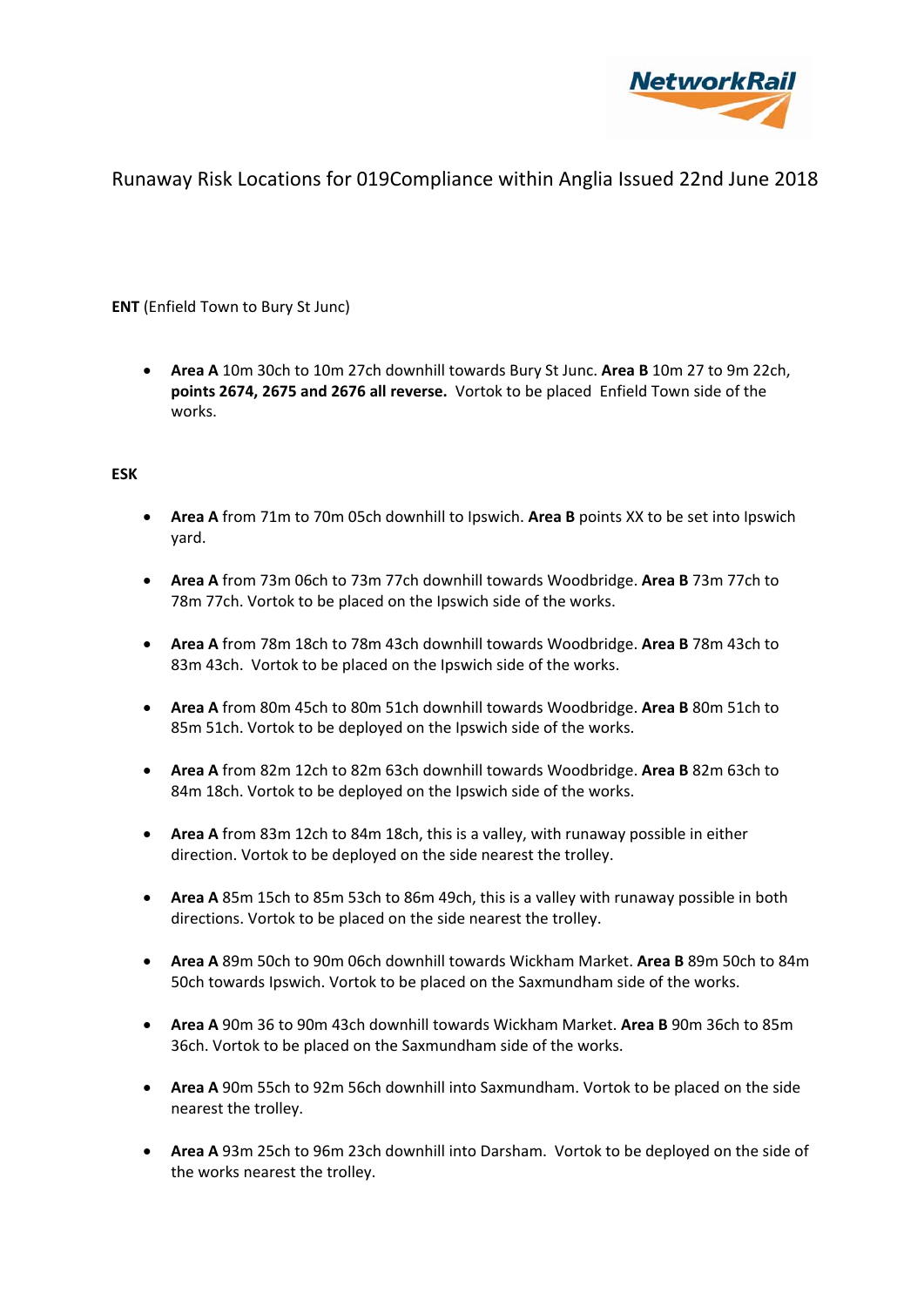

## **ENT** (Enfield Town to Bury St Junc)

 **Area A** 10m 30ch to 10m 27ch downhill towards Bury St Junc. **Area B** 10m 27 to 9m 22ch, **points 2674, 2675 and 2676 all reverse.** Vortok to be placed Enfield Town side of the works.

### **ESK**

- **Area A** from 71m to 70m 05ch downhill to Ipswich. **Area B** points XX to be set into Ipswich yard.
- **Area A** from 73m 06ch to 73m 77ch downhill towards Woodbridge. **Area B** 73m 77ch to 78m 77ch. Vortok to be placed on the Ipswich side of the works.
- **Area A** from 78m 18ch to 78m 43ch downhill towards Woodbridge. **Area B** 78m 43ch to 83m 43ch. Vortok to be placed on the Ipswich side of the works.
- **Area A** from 80m 45ch to 80m 51ch downhill towards Woodbridge. **Area B** 80m 51ch to 85m 51ch. Vortok to be deployed on the Ipswich side of the works.
- **Area A** from 82m 12ch to 82m 63ch downhill towards Woodbridge. **Area B** 82m 63ch to 84m 18ch. Vortok to be deployed on the Ipswich side of the works.
- **Area A** from 83m 12ch to 84m 18ch, this is a valley, with runaway possible in either direction. Vortok to be deployed on the side nearest the trolley.
- **Area A** 85m 15ch to 85m 53ch to 86m 49ch, this is a valley with runaway possible in both directions. Vortok to be placed on the side nearest the trolley.
- **Area A** 89m 50ch to 90m 06ch downhill towards Wickham Market. **Area B** 89m 50ch to 84m 50ch towards Ipswich. Vortok to be placed on the Saxmundham side of the works.
- **Area A** 90m 36 to 90m 43ch downhill towards Wickham Market. **Area B** 90m 36ch to 85m 36ch. Vortok to be placed on the Saxmundham side of the works.
- **Area A** 90m 55ch to 92m 56ch downhill into Saxmundham. Vortok to be placed on the side nearest the trolley.
- **Area A** 93m 25ch to 96m 23ch downhill into Darsham. Vortok to be deployed on the side of the works nearest the trolley.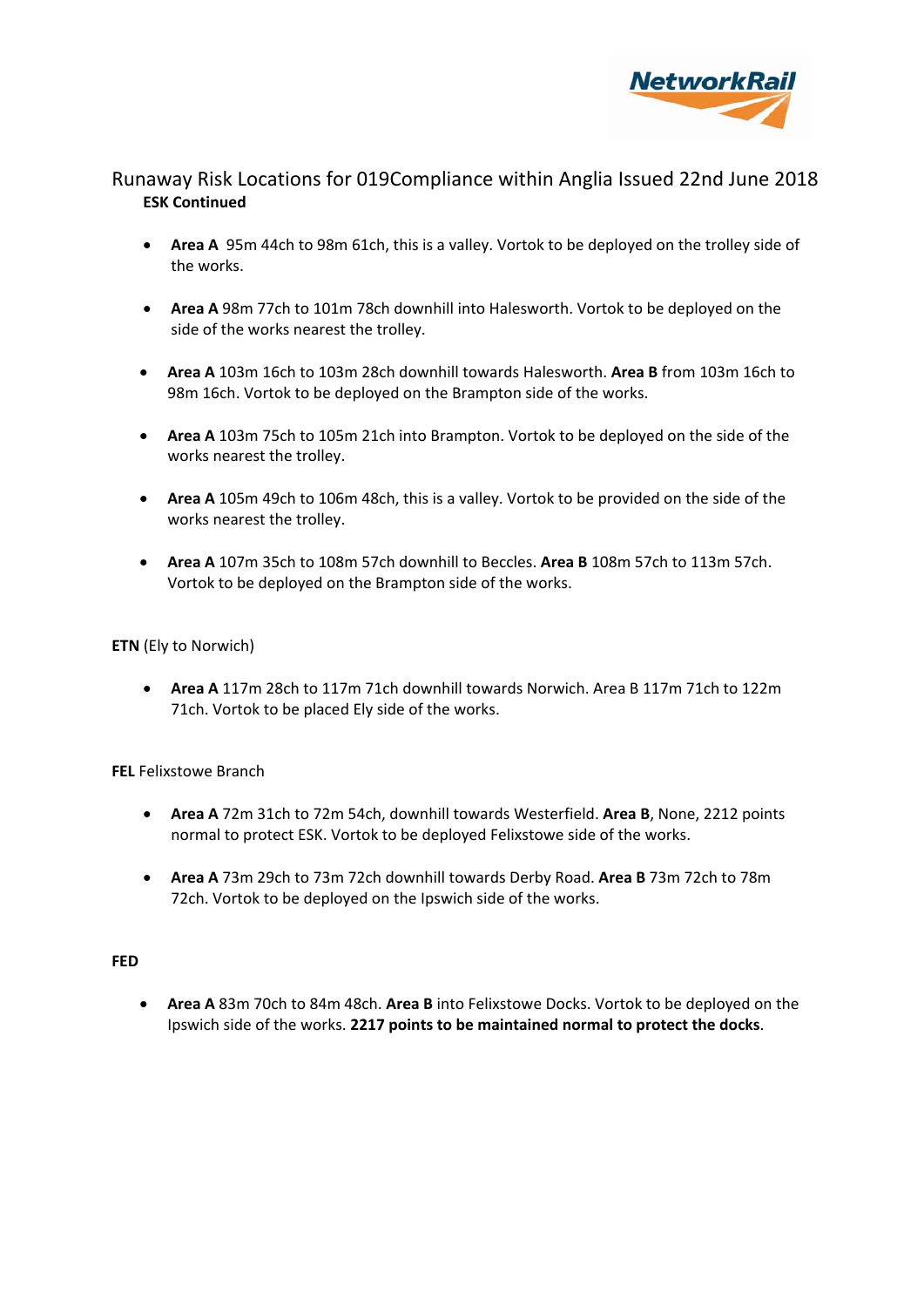

# Runaway Risk Locations for 019Compliance within Anglia Issued 22nd June 2018 **ESK Continued**

- **Area A** 95m 44ch to 98m 61ch, this is a valley. Vortok to be deployed on the trolley side of the works.
- **Area A** 98m 77ch to 101m 78ch downhill into Halesworth. Vortok to be deployed on the side of the works nearest the trolley.
- **Area A** 103m 16ch to 103m 28ch downhill towards Halesworth. **Area B** from 103m 16ch to 98m 16ch. Vortok to be deployed on the Brampton side of the works.
- **Area A** 103m 75ch to 105m 21ch into Brampton. Vortok to be deployed on the side of the works nearest the trolley.
- **Area A** 105m 49ch to 106m 48ch, this is a valley. Vortok to be provided on the side of the works nearest the trolley.
- **Area A** 107m 35ch to 108m 57ch downhill to Beccles. **Area B** 108m 57ch to 113m 57ch. Vortok to be deployed on the Brampton side of the works.

### **ETN** (Ely to Norwich)

 **Area A** 117m 28ch to 117m 71ch downhill towards Norwich. Area B 117m 71ch to 122m 71ch. Vortok to be placed Ely side of the works.

### **FEL** Felixstowe Branch

- **Area A** 72m 31ch to 72m 54ch, downhill towards Westerfield. **Area B**, None, 2212 points normal to protect ESK. Vortok to be deployed Felixstowe side of the works.
- **Area A** 73m 29ch to 73m 72ch downhill towards Derby Road. **Area B** 73m 72ch to 78m 72ch. Vortok to be deployed on the Ipswich side of the works.

### **FED**

 **Area A** 83m 70ch to 84m 48ch. **Area B** into Felixstowe Docks. Vortok to be deployed on the Ipswich side of the works. **2217 points to be maintained normal to protect the docks**.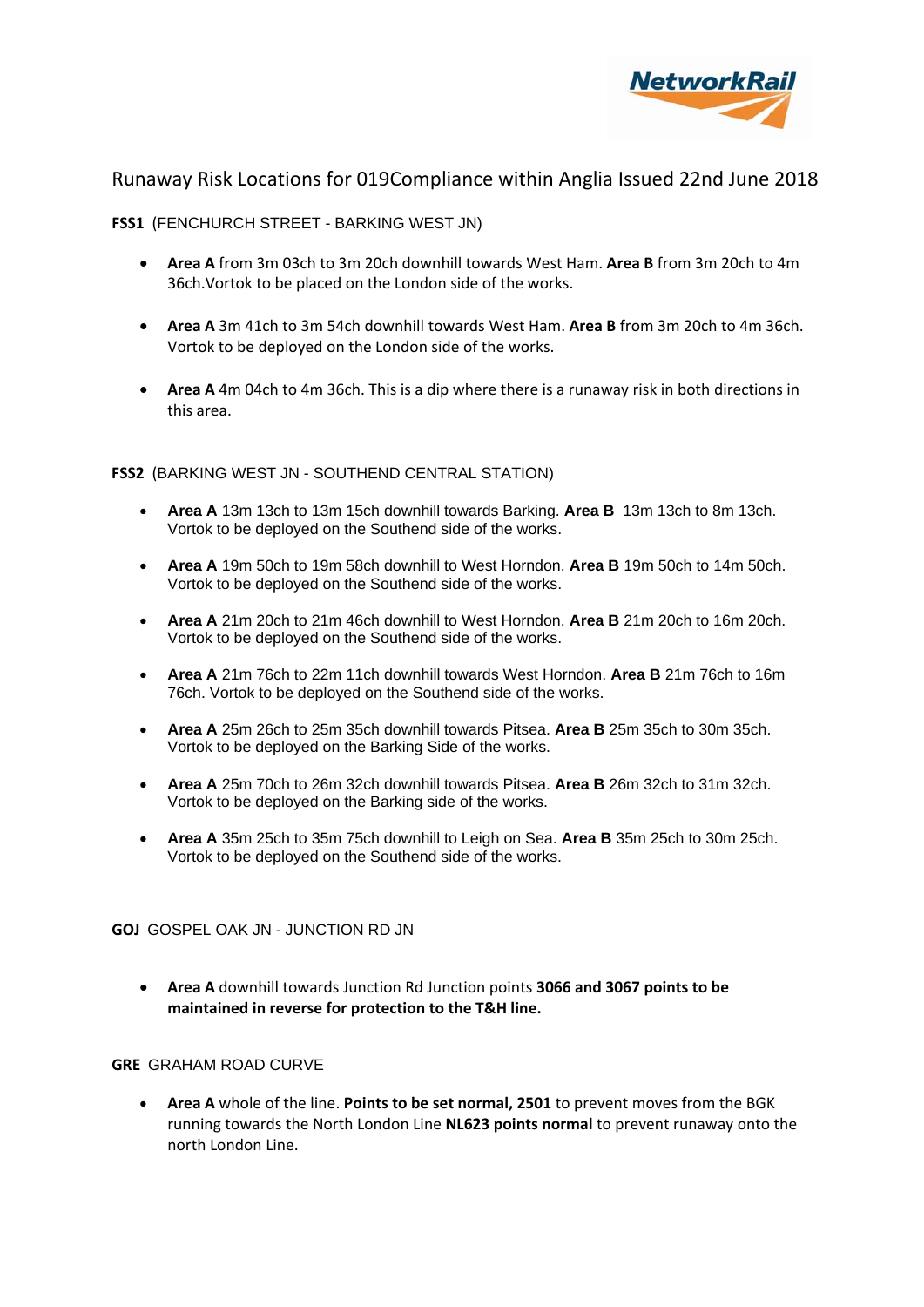

**FSS1** (FENCHURCH STREET - BARKING WEST JN)

- **Area A** from 3m 03ch to 3m 20ch downhill towards West Ham. **Area B** from 3m 20ch to 4m 36ch.Vortok to be placed on the London side of the works.
- **Area A** 3m 41ch to 3m 54ch downhill towards West Ham. **Area B** from 3m 20ch to 4m 36ch. Vortok to be deployed on the London side of the works.
- **Area A** 4m 04ch to 4m 36ch. This is a dip where there is a runaway risk in both directions in this area.

**FSS2** (BARKING WEST JN - SOUTHEND CENTRAL STATION)

- **Area A** 13m 13ch to 13m 15ch downhill towards Barking. **Area B** 13m 13ch to 8m 13ch. Vortok to be deployed on the Southend side of the works.
- **Area A** 19m 50ch to 19m 58ch downhill to West Horndon. **Area B** 19m 50ch to 14m 50ch. Vortok to be deployed on the Southend side of the works.
- **Area A** 21m 20ch to 21m 46ch downhill to West Horndon. **Area B** 21m 20ch to 16m 20ch. Vortok to be deployed on the Southend side of the works.
- **Area A** 21m 76ch to 22m 11ch downhill towards West Horndon. **Area B** 21m 76ch to 16m 76ch. Vortok to be deployed on the Southend side of the works.
- **Area A** 25m 26ch to 25m 35ch downhill towards Pitsea. **Area B** 25m 35ch to 30m 35ch. Vortok to be deployed on the Barking Side of the works.
- **Area A** 25m 70ch to 26m 32ch downhill towards Pitsea. **Area B** 26m 32ch to 31m 32ch. Vortok to be deployed on the Barking side of the works.
- **Area A** 35m 25ch to 35m 75ch downhill to Leigh on Sea. **Area B** 35m 25ch to 30m 25ch. Vortok to be deployed on the Southend side of the works.

**GOJ** GOSPEL OAK JN - JUNCTION RD JN

 **Area A** downhill towards Junction Rd Junction points **3066 and 3067 points to be maintained in reverse for protection to the T&H line.**

### **GRE** GRAHAM ROAD CURVE

 **Area A** whole of the line. **Points to be set normal, 2501** to prevent moves from the BGK running towards the North London Line **NL623 points normal** to prevent runaway onto the north London Line.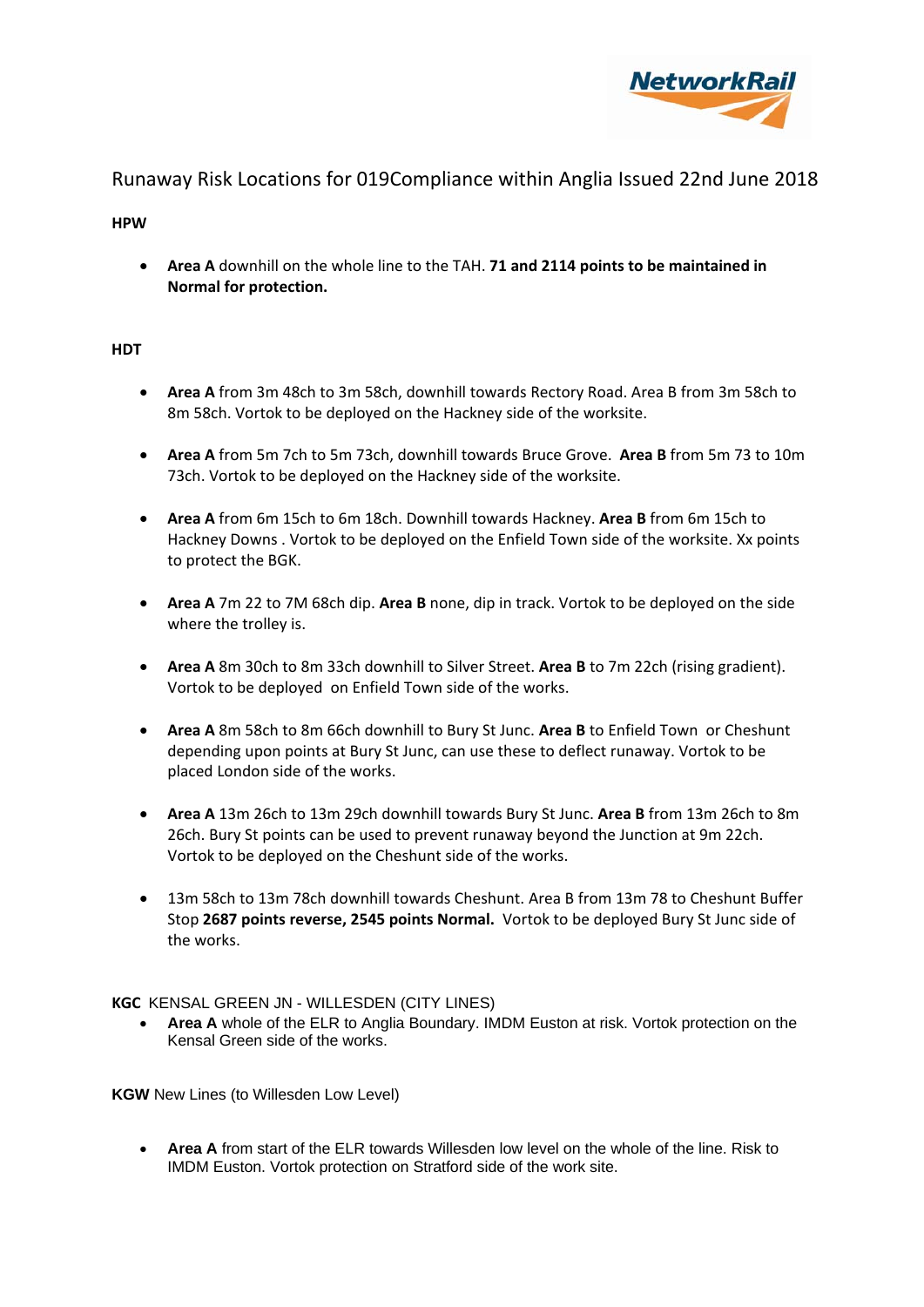

**HPW**

 **Area A** downhill on the whole line to the TAH. **71 and 2114 points to be maintained in Normal for protection.** 

## **HDT**

- **Area A** from 3m 48ch to 3m 58ch, downhill towards Rectory Road. Area B from 3m 58ch to 8m 58ch. Vortok to be deployed on the Hackney side of the worksite.
- **Area A** from 5m 7ch to 5m 73ch, downhill towards Bruce Grove. **Area B** from 5m 73 to 10m 73ch. Vortok to be deployed on the Hackney side of the worksite.
- **Area A** from 6m 15ch to 6m 18ch. Downhill towards Hackney. **Area B** from 6m 15ch to Hackney Downs . Vortok to be deployed on the Enfield Town side of the worksite. Xx points to protect the BGK.
- **Area A** 7m 22 to 7M 68ch dip. **Area B** none, dip in track. Vortok to be deployed on the side where the trolley is.
- **Area A** 8m 30ch to 8m 33ch downhill to Silver Street. **Area B** to 7m 22ch (rising gradient). Vortok to be deployed on Enfield Town side of the works.
- **Area A** 8m 58ch to 8m 66ch downhill to Bury St Junc. **Area B** to Enfield Town or Cheshunt depending upon points at Bury St Junc, can use these to deflect runaway. Vortok to be placed London side of the works.
- **Area A** 13m 26ch to 13m 29ch downhill towards Bury St Junc. **Area B** from 13m 26ch to 8m 26ch. Bury St points can be used to prevent runaway beyond the Junction at 9m 22ch. Vortok to be deployed on the Cheshunt side of the works.
- 13m 58ch to 13m 78ch downhill towards Cheshunt. Area B from 13m 78 to Cheshunt Buffer Stop **2687 points reverse, 2545 points Normal.** Vortok to be deployed Bury St Junc side of the works.

**KGC** KENSAL GREEN JN - WILLESDEN (CITY LINES)

 **Area A** whole of the ELR to Anglia Boundary. IMDM Euston at risk. Vortok protection on the Kensal Green side of the works.

**KGW** New Lines (to Willesden Low Level)

 **Area A** from start of the ELR towards Willesden low level on the whole of the line. Risk to IMDM Euston. Vortok protection on Stratford side of the work site.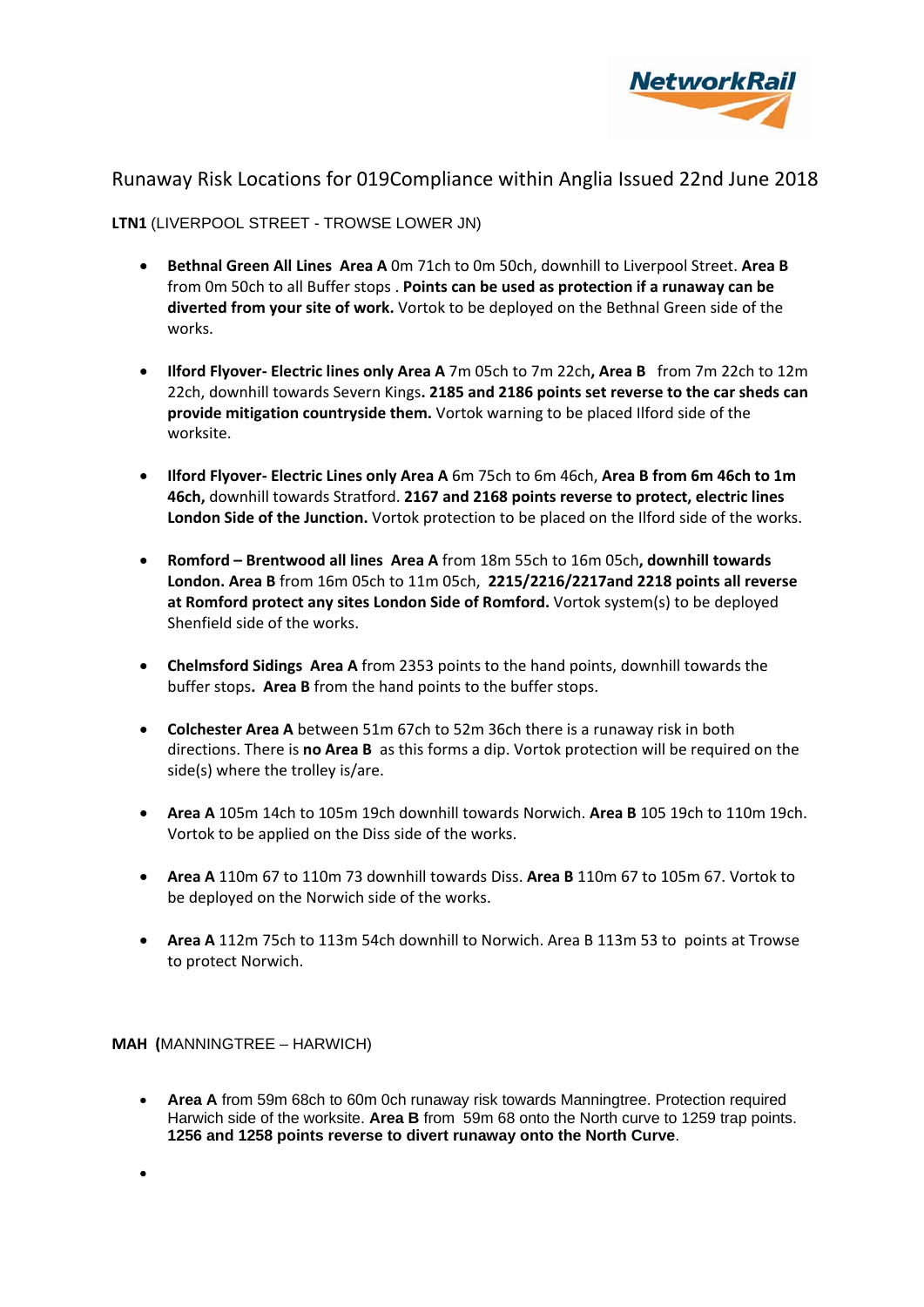

## **LTN1** (LIVERPOOL STREET - TROWSE LOWER JN)

- **Bethnal Green All Lines Area A** 0m 71ch to 0m 50ch, downhill to Liverpool Street. **Area B** from 0m 50ch to all Buffer stops . **Points can be used as protection if a runaway can be diverted from your site of work.** Vortok to be deployed on the Bethnal Green side of the works.
- **Ilford Flyover‐ Electric lines only Area A** 7m 05ch to 7m 22ch**, Area B** from 7m 22ch to 12m 22ch, downhill towards Severn Kings**. 2185 and 2186 points set reverse to the car sheds can provide mitigation countryside them.** Vortok warning to be placed Ilford side of the worksite.
- **Ilford Flyover‐ Electric Lines only Area A** 6m 75ch to 6m 46ch, **Area B from 6m 46ch to 1m 46ch,** downhill towards Stratford. **2167 and 2168 points reverse to protect, electric lines London Side of the Junction.** Vortok protection to be placed on the Ilford side of the works.
- **Romford – Brentwood all lines Area A** from 18m 55ch to 16m 05ch**, downhill towards London. Area B** from 16m 05ch to 11m 05ch, **2215/2216/2217and 2218 points all reverse at Romford protect any sites London Side of Romford.** Vortok system(s) to be deployed Shenfield side of the works.
- **Chelmsford Sidings Area A** from 2353 points to the hand points, downhill towards the buffer stops**. Area B** from the hand points to the buffer stops.
- **Colchester Area A** between 51m 67ch to 52m 36ch there is a runaway risk in both directions. There is **no Area B** as this forms a dip. Vortok protection will be required on the side(s) where the trolley is/are.
- **Area A** 105m 14ch to 105m 19ch downhill towards Norwich. **Area B** 105 19ch to 110m 19ch. Vortok to be applied on the Diss side of the works.
- **Area A** 110m 67 to 110m 73 downhill towards Diss. **Area B** 110m 67 to 105m 67. Vortok to be deployed on the Norwich side of the works.
- **Area A** 112m 75ch to 113m 54ch downhill to Norwich. Area B 113m 53 to points at Trowse to protect Norwich.

**MAH (**MANNINGTREE – HARWICH)

- **Area A** from 59m 68ch to 60m 0ch runaway risk towards Manningtree. Protection required Harwich side of the worksite. **Area B** from 59m 68 onto the North curve to 1259 trap points. **1256 and 1258 points reverse to divert runaway onto the North Curve**.
- $\bullet$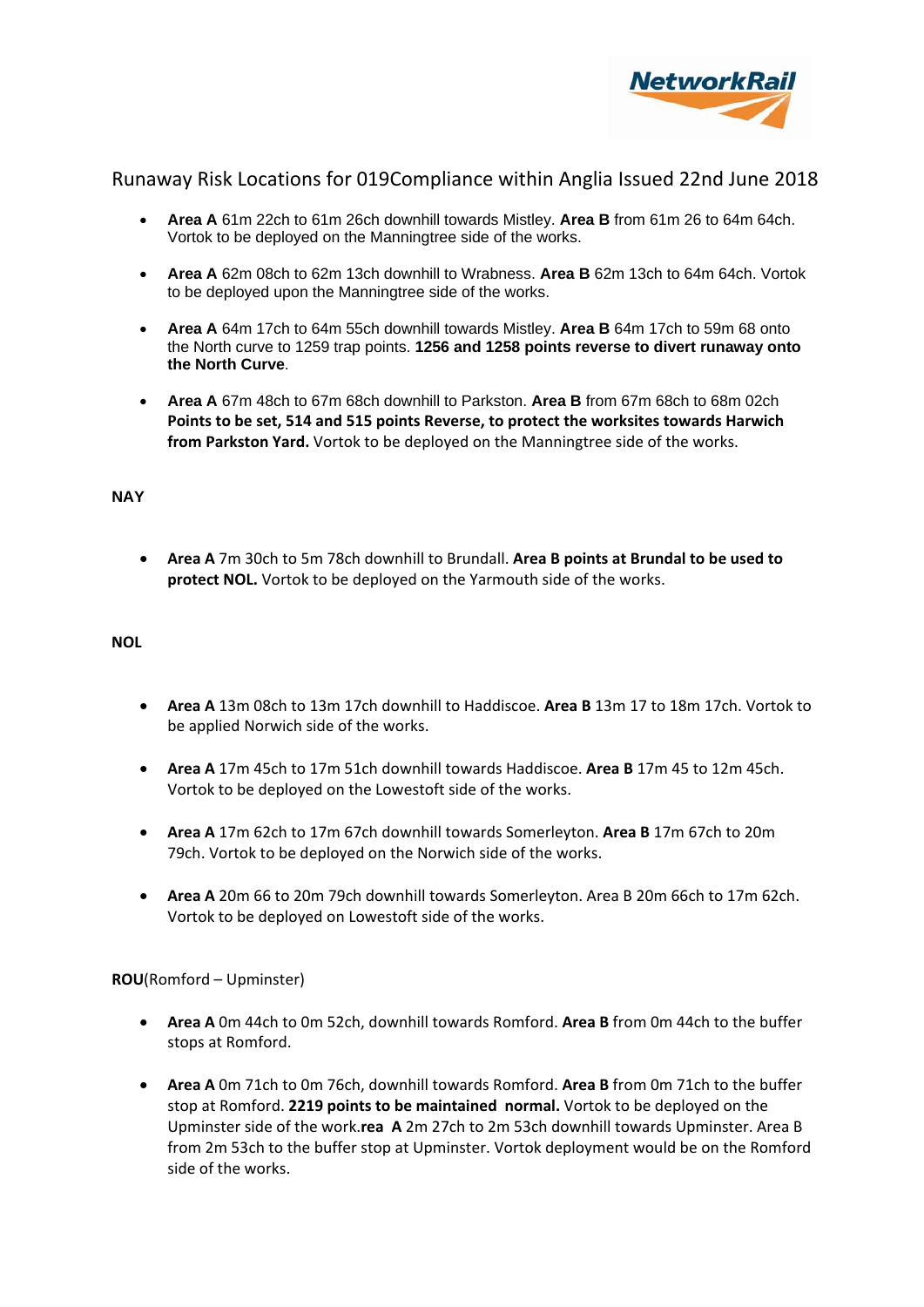

- **Area A** 61m 22ch to 61m 26ch downhill towards Mistley. **Area B** from 61m 26 to 64m 64ch. Vortok to be deployed on the Manningtree side of the works.
- **Area A** 62m 08ch to 62m 13ch downhill to Wrabness. **Area B** 62m 13ch to 64m 64ch. Vortok to be deployed upon the Manningtree side of the works.
- **Area A** 64m 17ch to 64m 55ch downhill towards Mistley. **Area B** 64m 17ch to 59m 68 onto the North curve to 1259 trap points. **1256 and 1258 points reverse to divert runaway onto the North Curve**.
- **Area A** 67m 48ch to 67m 68ch downhill to Parkston. **Area B** from 67m 68ch to 68m 02ch **Points to be set, 514 and 515 points Reverse, to protect the worksites towards Harwich from Parkston Yard.** Vortok to be deployed on the Manningtree side of the works.

### **NAY**

 **Area A** 7m 30ch to 5m 78ch downhill to Brundall. **Area B points at Brundal to be used to protect NOL.** Vortok to be deployed on the Yarmouth side of the works.

#### **NOL**

- **Area A** 13m 08ch to 13m 17ch downhill to Haddiscoe. **Area B** 13m 17 to 18m 17ch. Vortok to be applied Norwich side of the works.
- **Area A** 17m 45ch to 17m 51ch downhill towards Haddiscoe. **Area B** 17m 45 to 12m 45ch. Vortok to be deployed on the Lowestoft side of the works.
- **Area A** 17m 62ch to 17m 67ch downhill towards Somerleyton. **Area B** 17m 67ch to 20m 79ch. Vortok to be deployed on the Norwich side of the works.
- **Area A** 20m 66 to 20m 79ch downhill towards Somerleyton. Area B 20m 66ch to 17m 62ch. Vortok to be deployed on Lowestoft side of the works.

**ROU**(Romford – Upminster)

- **Area A** 0m 44ch to 0m 52ch, downhill towards Romford. **Area B** from 0m 44ch to the buffer stops at Romford.
- **Area A** 0m 71ch to 0m 76ch, downhill towards Romford. **Area B** from 0m 71ch to the buffer stop at Romford. **2219 points to be maintained normal.** Vortok to be deployed on the Upminster side of the work.**rea A** 2m 27ch to 2m 53ch downhill towards Upminster. Area B from 2m 53ch to the buffer stop at Upminster. Vortok deployment would be on the Romford side of the works.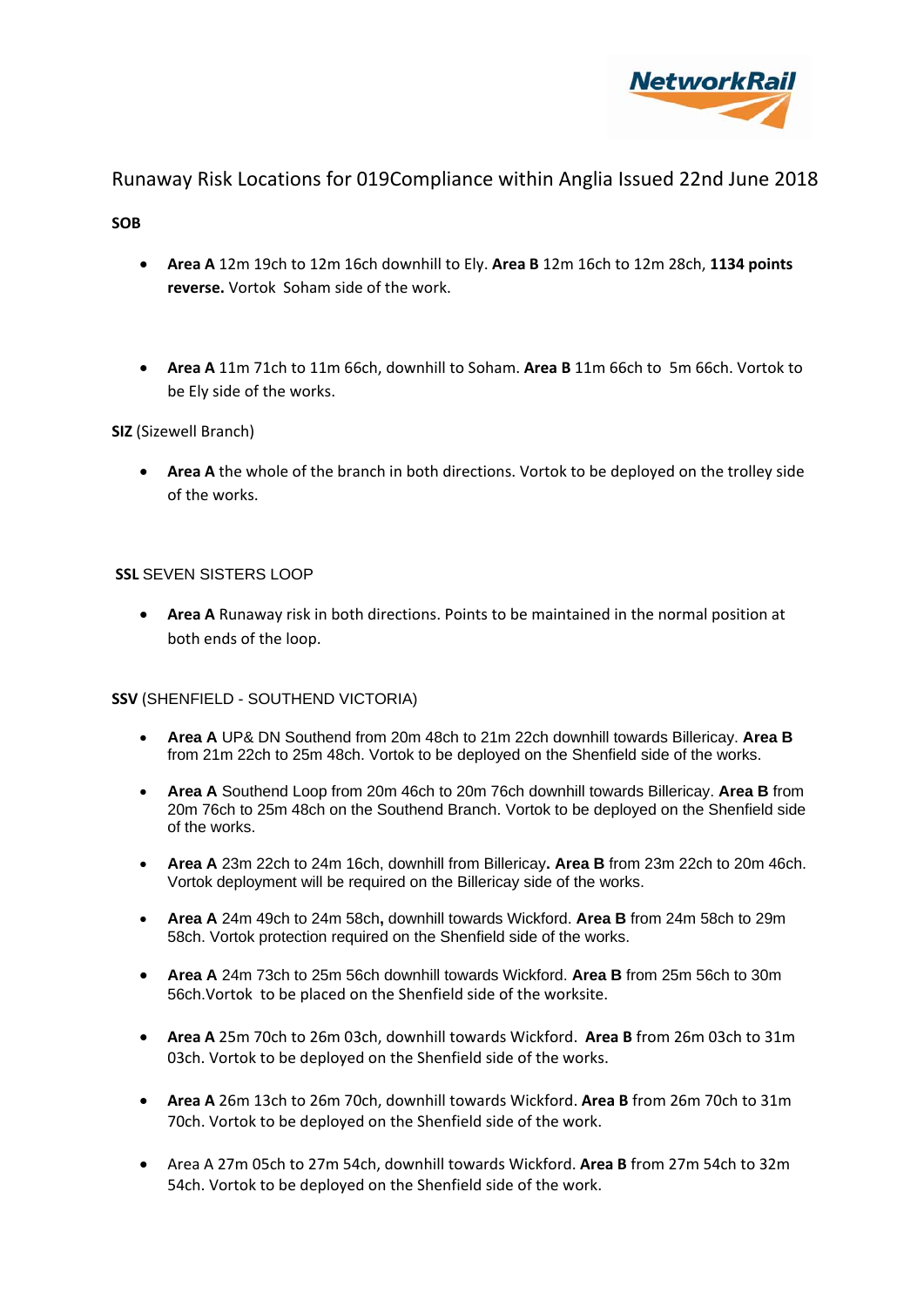

### **SOB**

- **Area A** 12m 19ch to 12m 16ch downhill to Ely. **Area B** 12m 16ch to 12m 28ch, **1134 points reverse.** Vortok Soham side of the work.
- **Area A** 11m 71ch to 11m 66ch, downhill to Soham. **Area B** 11m 66ch to 5m 66ch. Vortok to be Ely side of the works.

## **SIZ** (Sizewell Branch)

 **Area A** the whole of the branch in both directions. Vortok to be deployed on the trolley side of the works.

## **SSL** SEVEN SISTERS LOOP

 **Area A** Runaway risk in both directions. Points to be maintained in the normal position at both ends of the loop.

### **SSV** (SHENFIELD - SOUTHEND VICTORIA)

- **Area A** UP& DN Southend from 20m 48ch to 21m 22ch downhill towards Billericay. **Area B**  from 21m 22ch to 25m 48ch. Vortok to be deployed on the Shenfield side of the works.
- **Area A** Southend Loop from 20m 46ch to 20m 76ch downhill towards Billericay. **Area B** from 20m 76ch to 25m 48ch on the Southend Branch. Vortok to be deployed on the Shenfield side of the works.
- **Area A** 23m 22ch to 24m 16ch, downhill from Billericay**. Area B** from 23m 22ch to 20m 46ch. Vortok deployment will be required on the Billericay side of the works.
- **Area A** 24m 49ch to 24m 58ch**,** downhill towards Wickford. **Area B** from 24m 58ch to 29m 58ch. Vortok protection required on the Shenfield side of the works.
- **Area A** 24m 73ch to 25m 56ch downhill towards Wickford. **Area B** from 25m 56ch to 30m 56ch.Vortok to be placed on the Shenfield side of the worksite.
- **Area A** 25m 70ch to 26m 03ch, downhill towards Wickford. **Area B** from 26m 03ch to 31m 03ch. Vortok to be deployed on the Shenfield side of the works.
- **Area A** 26m 13ch to 26m 70ch, downhill towards Wickford. **Area B** from 26m 70ch to 31m 70ch. Vortok to be deployed on the Shenfield side of the work.
- Area A 27m 05ch to 27m 54ch, downhill towards Wickford. **Area B** from 27m 54ch to 32m 54ch. Vortok to be deployed on the Shenfield side of the work.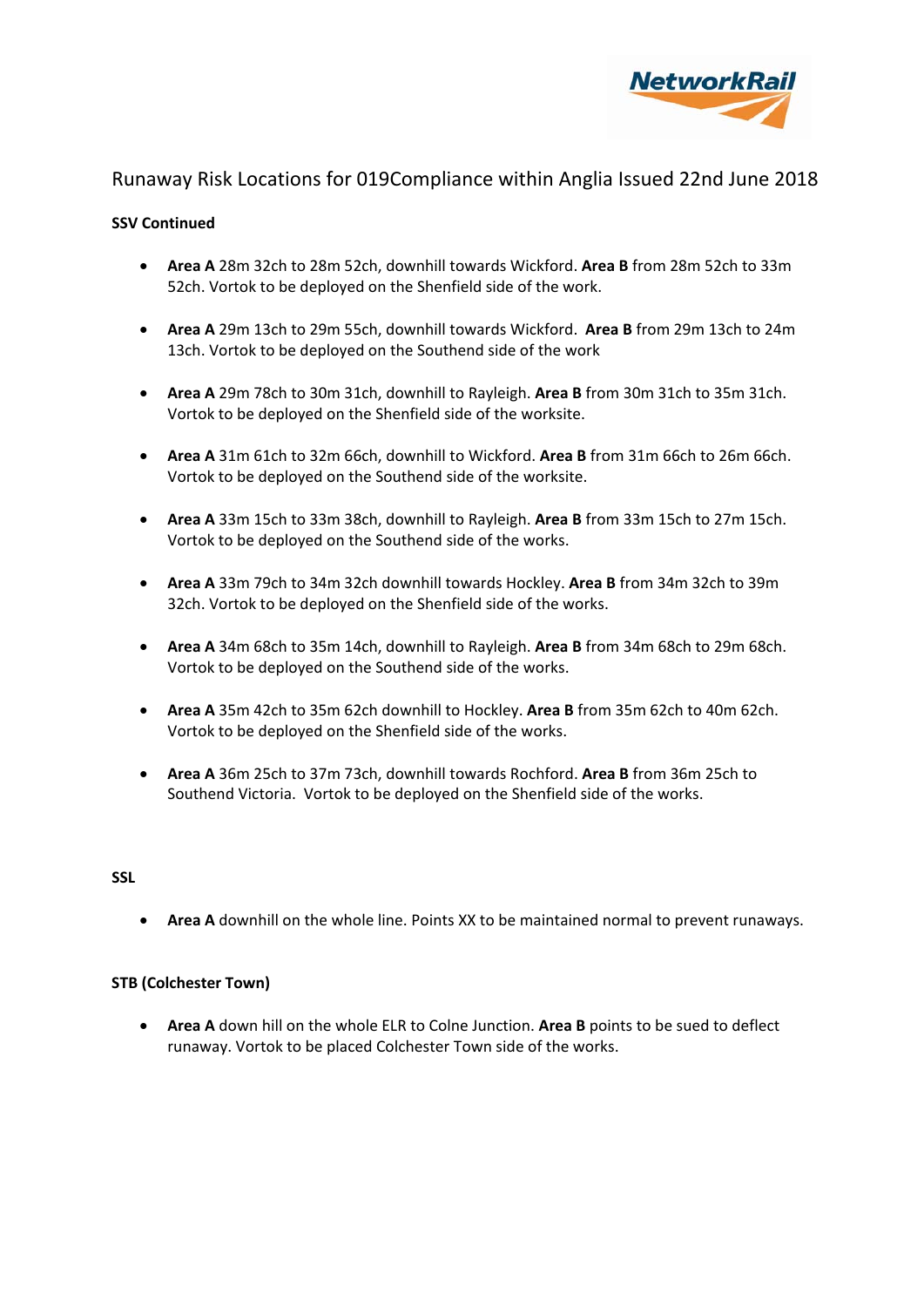

### **SSV Continued**

- **Area A** 28m 32ch to 28m 52ch, downhill towards Wickford. **Area B** from 28m 52ch to 33m 52ch. Vortok to be deployed on the Shenfield side of the work.
- **Area A** 29m 13ch to 29m 55ch, downhill towards Wickford. **Area B** from 29m 13ch to 24m 13ch. Vortok to be deployed on the Southend side of the work
- **Area A** 29m 78ch to 30m 31ch, downhill to Rayleigh. **Area B** from 30m 31ch to 35m 31ch. Vortok to be deployed on the Shenfield side of the worksite.
- **Area A** 31m 61ch to 32m 66ch, downhill to Wickford. **Area B** from 31m 66ch to 26m 66ch. Vortok to be deployed on the Southend side of the worksite.
- **Area A** 33m 15ch to 33m 38ch, downhill to Rayleigh. **Area B** from 33m 15ch to 27m 15ch. Vortok to be deployed on the Southend side of the works.
- **Area A** 33m 79ch to 34m 32ch downhill towards Hockley. **Area B** from 34m 32ch to 39m 32ch. Vortok to be deployed on the Shenfield side of the works.
- **Area A** 34m 68ch to 35m 14ch, downhill to Rayleigh. **Area B** from 34m 68ch to 29m 68ch. Vortok to be deployed on the Southend side of the works.
- **Area A** 35m 42ch to 35m 62ch downhill to Hockley. **Area B** from 35m 62ch to 40m 62ch. Vortok to be deployed on the Shenfield side of the works.
- **Area A** 36m 25ch to 37m 73ch, downhill towards Rochford. **Area B** from 36m 25ch to Southend Victoria. Vortok to be deployed on the Shenfield side of the works.

### **SSL**

**Area A** downhill on the whole line. Points XX to be maintained normal to prevent runaways.

### **STB (Colchester Town)**

 **Area A** down hill on the whole ELR to Colne Junction. **Area B** points to be sued to deflect runaway. Vortok to be placed Colchester Town side of the works.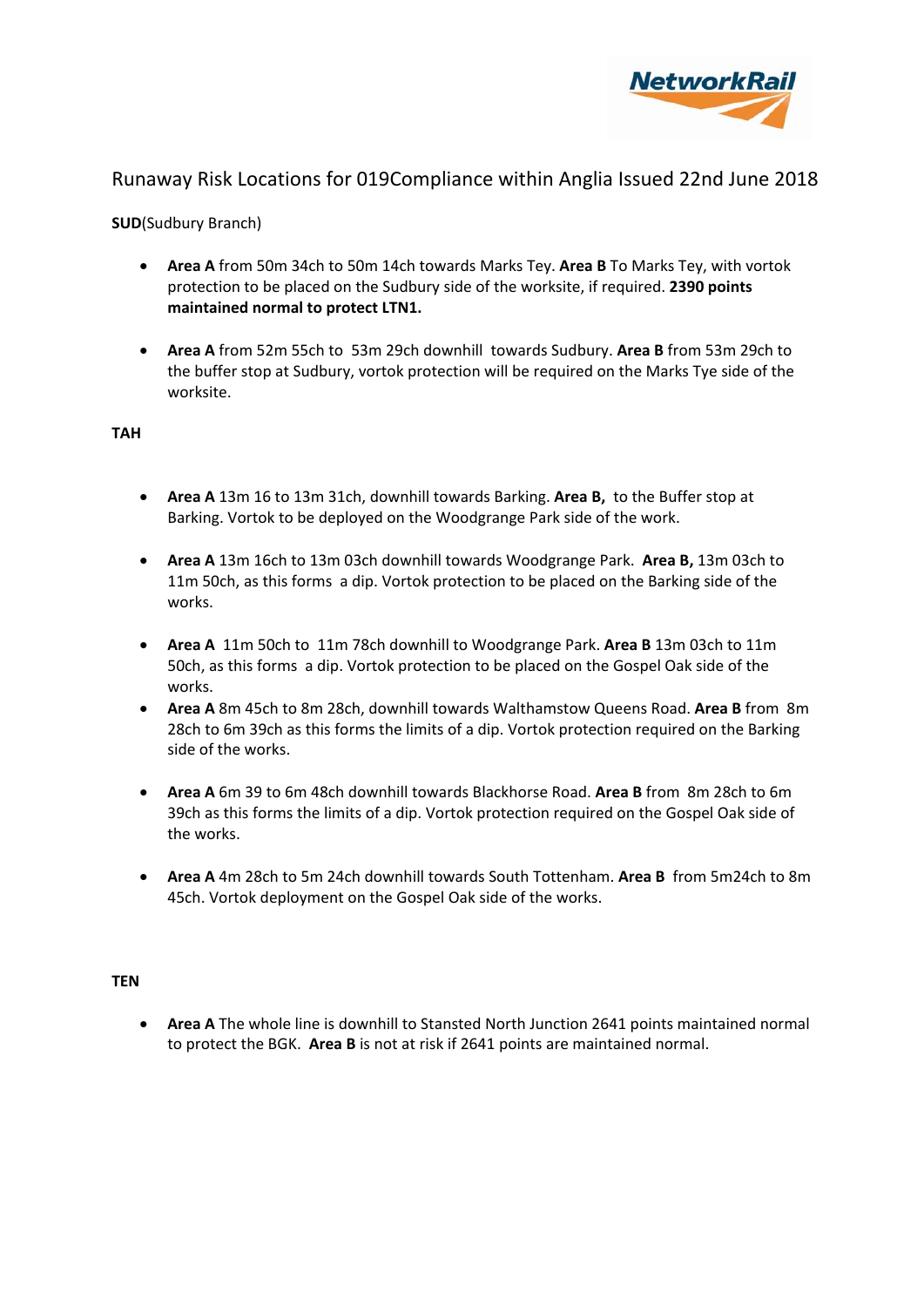

**SUD**(Sudbury Branch)

- **Area A** from 50m 34ch to 50m 14ch towards Marks Tey. **Area B** To Marks Tey, with vortok protection to be placed on the Sudbury side of the worksite, if required. **2390 points maintained normal to protect LTN1.**
- **Area A** from 52m 55ch to 53m 29ch downhill towards Sudbury. **Area B** from 53m 29ch to the buffer stop at Sudbury, vortok protection will be required on the Marks Tye side of the worksite.

**TAH** 

- **Area A** 13m 16 to 13m 31ch, downhill towards Barking. **Area B,** to the Buffer stop at Barking. Vortok to be deployed on the Woodgrange Park side of the work.
- **Area A** 13m 16ch to 13m 03ch downhill towards Woodgrange Park. **Area B,** 13m 03ch to 11m 50ch, as this forms a dip. Vortok protection to be placed on the Barking side of the works.
- **Area A** 11m 50ch to 11m 78ch downhill to Woodgrange Park. **Area B** 13m 03ch to 11m 50ch, as this forms a dip. Vortok protection to be placed on the Gospel Oak side of the works.
- **Area A** 8m 45ch to 8m 28ch, downhill towards Walthamstow Queens Road. **Area B** from 8m 28ch to 6m 39ch as this forms the limits of a dip. Vortok protection required on the Barking side of the works.
- **Area A** 6m 39 to 6m 48ch downhill towards Blackhorse Road. **Area B** from 8m 28ch to 6m 39ch as this forms the limits of a dip. Vortok protection required on the Gospel Oak side of the works.
- **Area A** 4m 28ch to 5m 24ch downhill towards South Tottenham. **Area B** from 5m24ch to 8m 45ch. Vortok deployment on the Gospel Oak side of the works.

### **TEN**

 **Area A** The whole line is downhill to Stansted North Junction 2641 points maintained normal to protect the BGK. **Area B** is not at risk if 2641 points are maintained normal.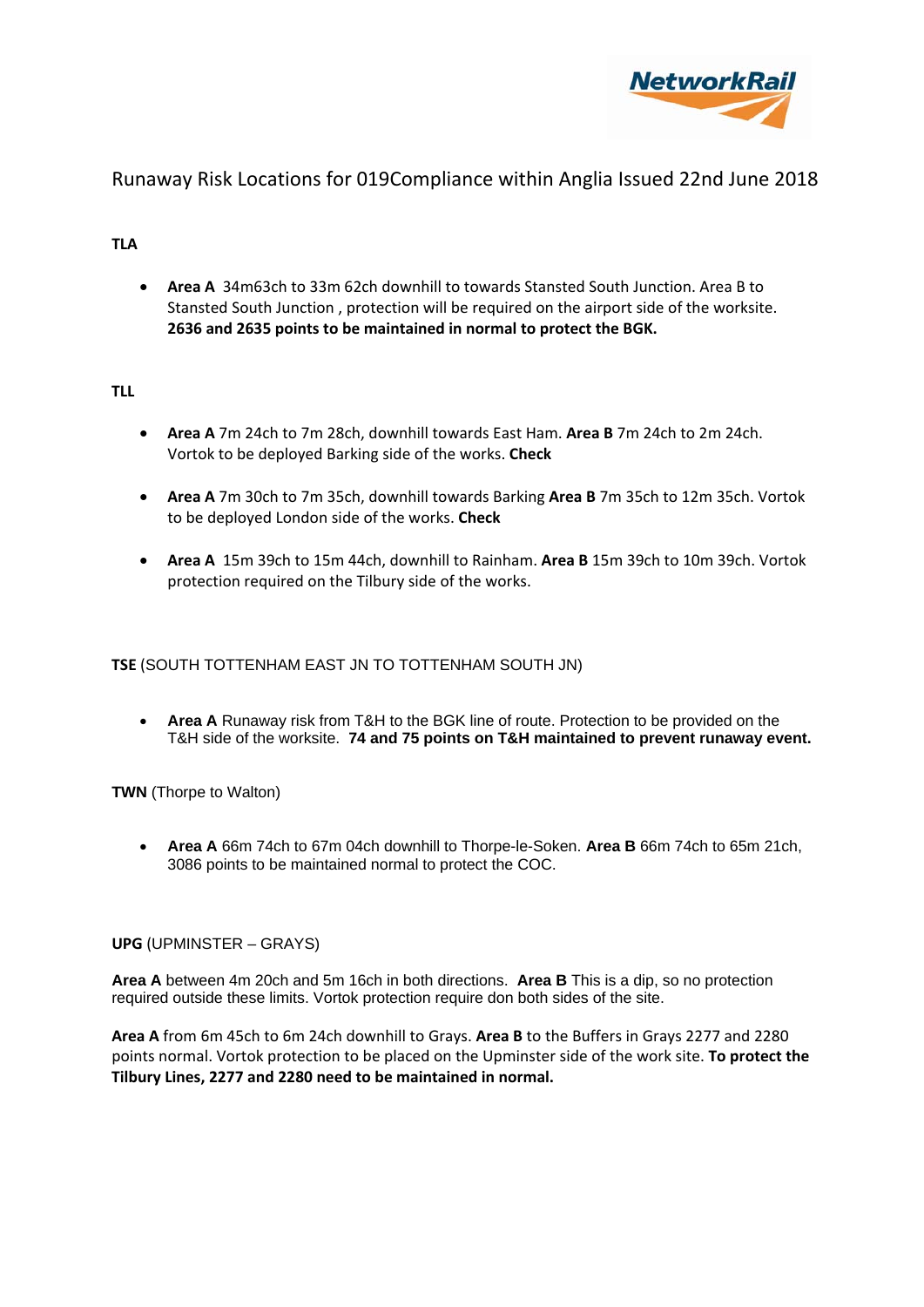

## **TLA**

 **Area A** 34m63ch to 33m 62ch downhill to towards Stansted South Junction. Area B to Stansted South Junction , protection will be required on the airport side of the worksite. **2636 and 2635 points to be maintained in normal to protect the BGK.**

## **TLL**

- **Area A** 7m 24ch to 7m 28ch, downhill towards East Ham. **Area B** 7m 24ch to 2m 24ch. Vortok to be deployed Barking side of the works. **Check**
- **Area A** 7m 30ch to 7m 35ch, downhill towards Barking **Area B** 7m 35ch to 12m 35ch. Vortok to be deployed London side of the works. **Check**
- **Area A** 15m 39ch to 15m 44ch, downhill to Rainham. **Area B** 15m 39ch to 10m 39ch. Vortok protection required on the Tilbury side of the works.

## **TSE** (SOUTH TOTTENHAM EAST JN TO TOTTENHAM SOUTH JN)

 **Area A** Runaway risk from T&H to the BGK line of route. Protection to be provided on the T&H side of the worksite. **74 and 75 points on T&H maintained to prevent runaway event.** 

**TWN** (Thorpe to Walton)

 **Area A** 66m 74ch to 67m 04ch downhill to Thorpe-le-Soken. **Area B** 66m 74ch to 65m 21ch, 3086 points to be maintained normal to protect the COC.

### **UPG** (UPMINSTER – GRAYS)

**Area A** between 4m 20ch and 5m 16ch in both directions. **Area B** This is a dip, so no protection required outside these limits. Vortok protection require don both sides of the site.

**Area A** from 6m 45ch to 6m 24ch downhill to Grays. **Area B** to the Buffers in Grays 2277 and 2280 points normal. Vortok protection to be placed on the Upminster side of the work site. **To protect the Tilbury Lines, 2277 and 2280 need to be maintained in normal.**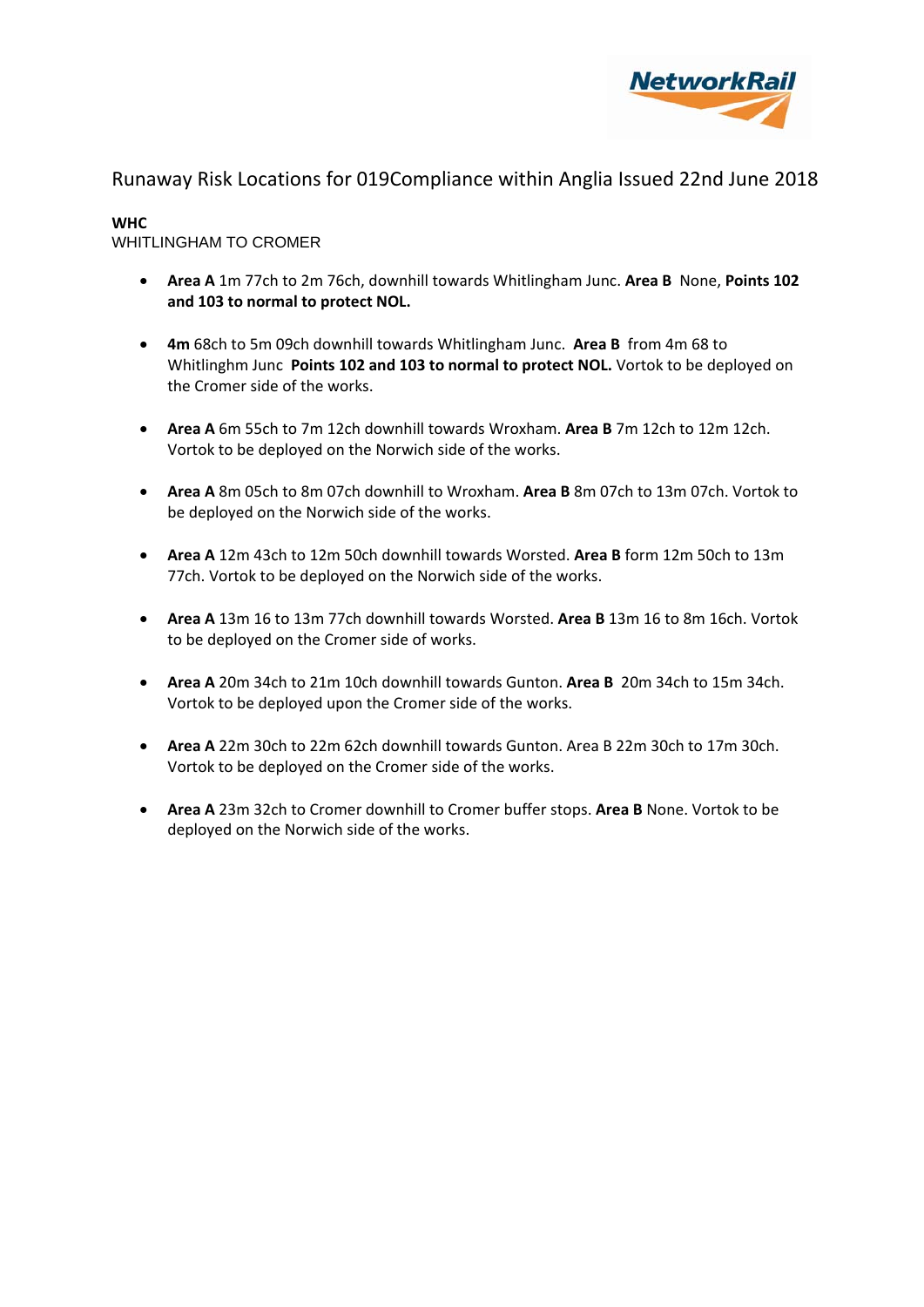

#### **WHC**

## WHITLINGHAM TO CROMER

- **Area A** 1m 77ch to 2m 76ch, downhill towards Whitlingham Junc. **Area B** None, **Points 102 and 103 to normal to protect NOL.**
- **4m** 68ch to 5m 09ch downhill towards Whitlingham Junc. **Area B** from 4m 68 to Whitlinghm Junc **Points 102 and 103 to normal to protect NOL.** Vortok to be deployed on the Cromer side of the works.
- **Area A** 6m 55ch to 7m 12ch downhill towards Wroxham. **Area B** 7m 12ch to 12m 12ch. Vortok to be deployed on the Norwich side of the works.
- **Area A** 8m 05ch to 8m 07ch downhill to Wroxham. **Area B** 8m 07ch to 13m 07ch. Vortok to be deployed on the Norwich side of the works.
- **Area A** 12m 43ch to 12m 50ch downhill towards Worsted. **Area B** form 12m 50ch to 13m 77ch. Vortok to be deployed on the Norwich side of the works.
- **Area A** 13m 16 to 13m 77ch downhill towards Worsted. **Area B** 13m 16 to 8m 16ch. Vortok to be deployed on the Cromer side of works.
- **Area A** 20m 34ch to 21m 10ch downhill towards Gunton. **Area B** 20m 34ch to 15m 34ch. Vortok to be deployed upon the Cromer side of the works.
- **Area A** 22m 30ch to 22m 62ch downhill towards Gunton. Area B 22m 30ch to 17m 30ch. Vortok to be deployed on the Cromer side of the works.
- **Area A** 23m 32ch to Cromer downhill to Cromer buffer stops. **Area B** None. Vortok to be deployed on the Norwich side of the works.